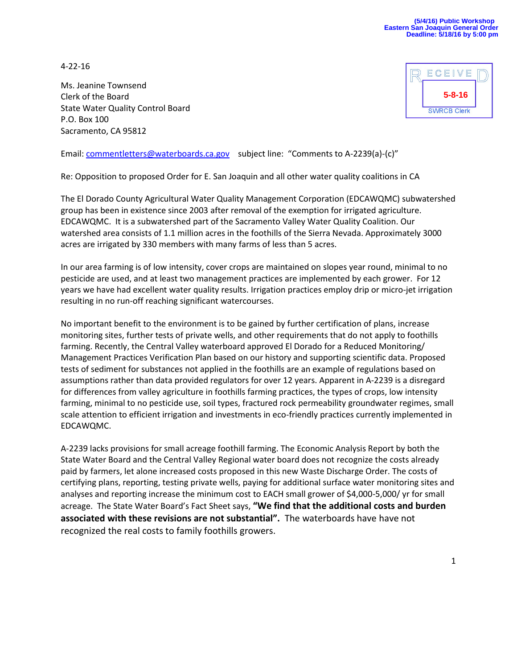4-22-16

Ms. Jeanine Townsend Clerk of the Board State Water Quality Control Board P.O. Box 100 Sacramento, CA 95812



Email: [commentletters@waterboards.ca.gov](mailto:commentletters@waterboards.ca.gov) subject line: "Comments to A-2239(a)-(c)"

Re: Opposition to proposed Order for E. San Joaquin and all other water quality coalitions in CA

The El Dorado County Agricultural Water Quality Management Corporation (EDCAWQMC) subwatershed group has been in existence since 2003 after removal of the exemption for irrigated agriculture. EDCAWQMC. It is a subwatershed part of the Sacramento Valley Water Quality Coalition. Our watershed area consists of 1.1 million acres in the foothills of the Sierra Nevada. Approximately 3000 acres are irrigated by 330 members with many farms of less than 5 acres.

In our area farming is of low intensity, cover crops are maintained on slopes year round, minimal to no pesticide are used, and at least two management practices are implemented by each grower. For 12 years we have had excellent water quality results. Irrigation practices employ drip or micro-jet irrigation resulting in no run-off reaching significant watercourses.

No important benefit to the environment is to be gained by further certification of plans, increase monitoring sites, further tests of private wells, and other requirements that do not apply to foothills farming. Recently, the Central Valley waterboard approved El Dorado for a Reduced Monitoring/ Management Practices Verification Plan based on our history and supporting scientific data. Proposed tests of sediment for substances not applied in the foothills are an example of regulations based on assumptions rather than data provided regulators for over 12 years. Apparent in A-2239 is a disregard for differences from valley agriculture in foothills farming practices, the types of crops, low intensity farming, minimal to no pesticide use, soil types, fractured rock permeability groundwater regimes, small scale attention to efficient irrigation and investments in eco-friendly practices currently implemented in EDCAWQMC.

A-2239 lacks provisions for small acreage foothill farming. The Economic Analysis Report by both the State Water Board and the Central Valley Regional water board does not recognize the costs already paid by farmers, let alone increased costs proposed in this new Waste Discharge Order. The costs of certifying plans, reporting, testing private wells, paying for additional surface water monitoring sites and analyses and reporting increase the minimum cost to EACH small grower of \$4,000-5,000/ yr for small acreage. The State Water Board's Fact Sheet says, **"We find that the additional costs and burden associated with these revisions are not substantial".** The waterboards have have not recognized the real costs to family foothills growers.